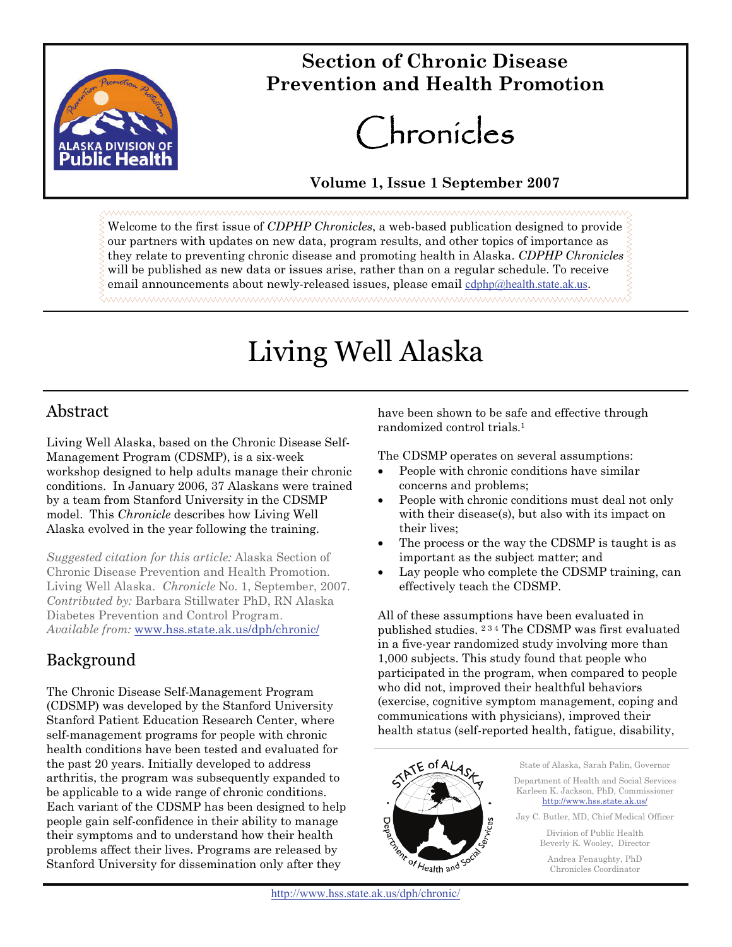

## **Section of Chronic Disease Prevention and Health Promotion**

# Chronicles

#### **Volume 1, Issue 1 September 2007**

Welcome to the first issue of *CDPHP Chronicles*, a web-based publication designed to provide our partners with updates on new data, program results, and other topics of importance as they relate to preventing chronic disease and promoting health in Alaska. *CDPHP Chronicles* will be published as new data or issues arise, rather than on a regular schedule. To receive email announcements about newly-released issues, please email [cdphp@health.state.ak.us](mailto:cdphp@health.state.ak.us?subject=Contact%20for%20CDPHP%20site). ™™™™™™™™™™™™™™™™™™™™™™™™™™™™™™™™

## Living Well Alaska

#### Abstract

Living Well Alaska, based on the Chronic Disease Self-Management Program (CDSMP), is a six-week workshop designed to help adults manage their chronic conditions. In January 2006, 37 Alaskans were trained by a team from Stanford University in the CDSMP model. This *Chronicle* describes how Living Well Alaska evolved in the year following the training.

*Suggested citation for this article:* Alaska Section of Chronic Disease Prevention and Health Promotion. Living Well Alaska. *Chronicle* No. 1, September, 2007. *Contributed by:* Barbara Stillwater PhD, RN Alaska Diabetes Prevention and Control Program. *Available from:* [www.hss.state.ak.us/dph/chronic/](http://www.hss.state.ak.us/dph/chronic/default.htm)

### Background

The Chronic Disease Self-Management Program (CDSMP) was developed by the Stanford University Stanford Patient Education Research Center, where self-management programs for people with chronic health conditions have been tested and evaluated for the past 20 years. Initially developed to address arthritis, the program was subsequently expanded to be applicable to a wide range of chronic conditions. Each variant of the CDSMP has been designed to help people gain self-confidence in their ability to manage their symptoms and to understand how their health problems affect their lives. Programs are released by Stanford University for dissemination only after they

have been shown to be safe and effective through randomized control trials.1

The CDSMP operates on several assumptions:

- People with chronic conditions have similar concerns and problems;
- People with chronic conditions must deal not only with their disease(s), but also with its impact on their lives;
- The process or the way the CDSMP is taught is as important as the subject matter; and
- Lay people who complete the CDSMP training, can effectively teach the CDSMP.

All of these assumptions have been evaluated in published studies. 2 3 4 The CDSMP was first evaluated in a five-year randomized study involving more than 1,000 subjects. This study found that people who participated in the program, when compared to people who did not, improved their healthful behaviors (exercise, cognitive symptom management, coping and communications with physicians), improved their health status (self-reported health, fatigue, disability,



State of Alaska, Sarah Palin, Governor Department of Health and Social Services Karleen K. Jackson, PhD, Commissioner [http://www.hss.state.ak.us/](http://www.hss.state.ak.us)

Jay C. Butler, MD, Chief Medical Officer

Division of Public Health Beverly K. Wooley, Director

Andrea Fenaughty, PhD Chronicles Coordinator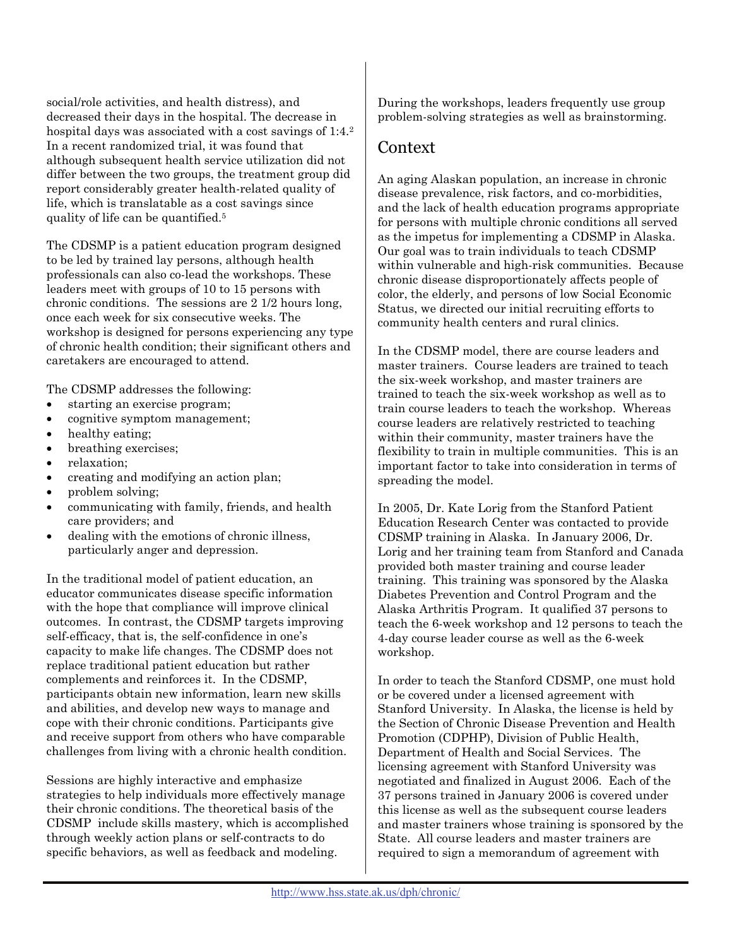social/role activities, and health distress), and decreased their days in the hospital. The decrease in hospital days was associated with a cost savings of 1:4.<sup>2</sup> In a recent randomized trial, it was found that although subsequent health service utilization did not differ between the two groups, the treatment group did report considerably greater health-related quality of life, which is translatable as a cost savings since quality of life can be quantified.5

The CDSMP is a patient education program designed to be led by trained lay persons, although health professionals can also co-lead the workshops. These leaders meet with groups of 10 to 15 persons with chronic conditions. The sessions are 2 1/2 hours long, once each week for six consecutive weeks. The workshop is designed for persons experiencing any type of chronic health condition; their significant others and caretakers are encouraged to attend.

The CDSMP addresses the following:

- starting an exercise program;
- cognitive symptom management;
- healthy eating;
- breathing exercises;
- relaxation;
- creating and modifying an action plan;
- problem solving;
- communicating with family, friends, and health care providers; and
- dealing with the emotions of chronic illness, particularly anger and depression.

In the traditional model of patient education, an educator communicates disease specific information with the hope that compliance will improve clinical outcomes. In contrast, the CDSMP targets improving self-efficacy, that is, the self-confidence in one's capacity to make life changes. The CDSMP does not replace traditional patient education but rather complements and reinforces it. In the CDSMP, participants obtain new information, learn new skills and abilities, and develop new ways to manage and cope with their chronic conditions. Participants give and receive support from others who have comparable challenges from living with a chronic health condition.

Sessions are highly interactive and emphasize strategies to help individuals more effectively manage their chronic conditions. The theoretical basis of the CDSMP include skills mastery, which is accomplished through weekly action plans or self-contracts to do specific behaviors, as well as feedback and modeling.

During the workshops, leaders frequently use group problem-solving strategies as well as brainstorming.

#### Context

An aging Alaskan population, an increase in chronic disease prevalence, risk factors, and co-morbidities, and the lack of health education programs appropriate for persons with multiple chronic conditions all served as the impetus for implementing a CDSMP in Alaska. Our goal was to train individuals to teach CDSMP within vulnerable and high-risk communities. Because chronic disease disproportionately affects people of color, the elderly, and persons of low Social Economic Status, we directed our initial recruiting efforts to community health centers and rural clinics.

In the CDSMP model, there are course leaders and master trainers. Course leaders are trained to teach the six-week workshop, and master trainers are trained to teach the six-week workshop as well as to train course leaders to teach the workshop. Whereas course leaders are relatively restricted to teaching within their community, master trainers have the flexibility to train in multiple communities. This is an important factor to take into consideration in terms of spreading the model.

In 2005, Dr. Kate Lorig from the Stanford Patient Education Research Center was contacted to provide CDSMP training in Alaska. In January 2006, Dr. Lorig and her training team from Stanford and Canada provided both master training and course leader training. This training was sponsored by the Alaska Diabetes Prevention and Control Program and the Alaska Arthritis Program. It qualified 37 persons to teach the 6-week workshop and 12 persons to teach the 4-day course leader course as well as the 6-week workshop.

In order to teach the Stanford CDSMP, one must hold or be covered under a licensed agreement with Stanford University. In Alaska, the license is held by the Section of Chronic Disease Prevention and Health Promotion (CDPHP), Division of Public Health, Department of Health and Social Services. The licensing agreement with Stanford University was negotiated and finalized in August 2006. Each of the 37 persons trained in January 2006 is covered under this license as well as the subsequent course leaders and master trainers whose training is sponsored by the State. All course leaders and master trainers are required to sign a memorandum of agreement with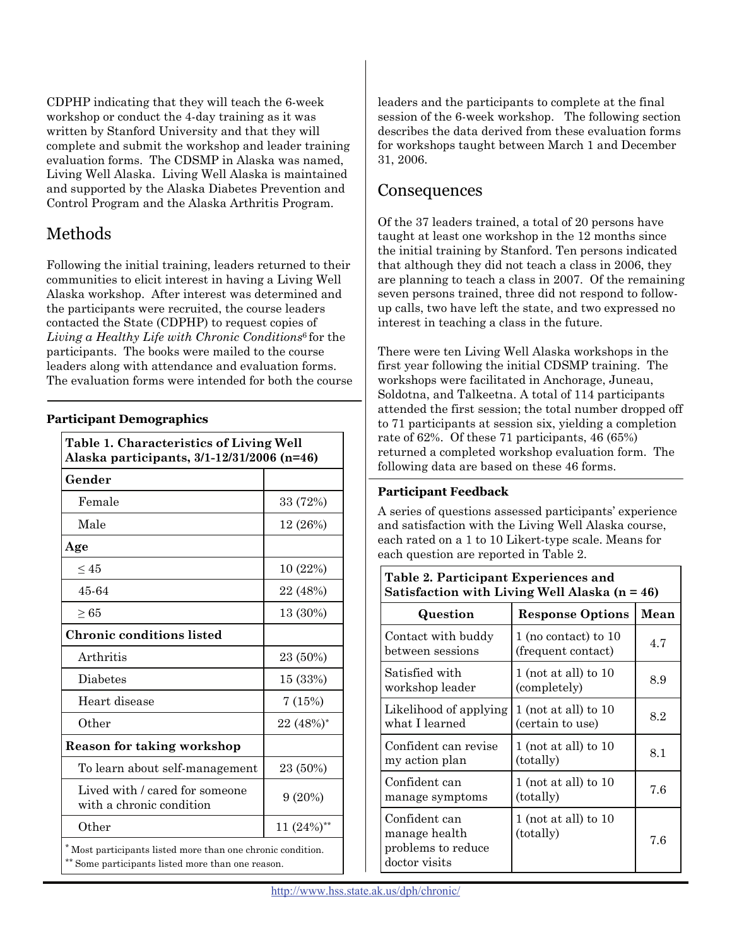CDPHP indicating that they will teach the 6-week workshop or conduct the 4-day training as it was written by Stanford University and that they will complete and submit the workshop and leader training evaluation forms. The CDSMP in Alaska was named, Living Well Alaska. Living Well Alaska is maintained and supported by the Alaska Diabetes Prevention and Control Program and the Alaska Arthritis Program.

#### Methods

Following the initial training, leaders returned to their communities to elicit interest in having a Living Well Alaska workshop. After interest was determined and the participants were recruited, the course leaders contacted the State (CDPHP) to request copies of *Living a Healthy Life with Chronic Conditions*<sup>6</sup> for the participants. The books were mailed to the course leaders along with attendance and evaluation forms. The evaluation forms were intended for both the course

#### **Participant Demographics**

| Table 1. Characteristics of Living Well<br>Alaska participants, 3/1-12/31/2006 (n=46)                           |               |  |
|-----------------------------------------------------------------------------------------------------------------|---------------|--|
| Gender                                                                                                          |               |  |
| Female                                                                                                          | 33 (72%)      |  |
| Male                                                                                                            | 12 (26%)      |  |
| Age                                                                                                             |               |  |
| $\leq 45$                                                                                                       | 10 (22%)      |  |
| 45-64                                                                                                           | 22 (48%)      |  |
| $\geq 65$                                                                                                       | 13 (30%)      |  |
| Chronic conditions listed                                                                                       |               |  |
| Arthritis                                                                                                       | 23 (50%)      |  |
| <b>Diabetes</b>                                                                                                 | 15 (33%)      |  |
| Heart disease                                                                                                   | 7(15%)        |  |
| Other                                                                                                           | 22 (48%)*     |  |
| <b>Reason for taking workshop</b>                                                                               |               |  |
| To learn about self-management                                                                                  | 23 (50%)      |  |
| Lived with / cared for someone<br>with a chronic condition                                                      | 9(20%)        |  |
| Other                                                                                                           | 11 $(24%)$ ** |  |
| *Most participants listed more than one chronic condition.<br>** Some participants listed more than one reason. |               |  |

leaders and the participants to complete at the final session of the 6-week workshop. The following section describes the data derived from these evaluation forms for workshops taught between March 1 and December 31, 2006.

#### **Consequences**

Of the 37 leaders trained, a total of 20 persons have taught at least one workshop in the 12 months since the initial training by Stanford. Ten persons indicated that although they did not teach a class in 2006, they are planning to teach a class in 2007. Of the remaining seven persons trained, three did not respond to followup calls, two have left the state, and two expressed no interest in teaching a class in the future.

There were ten Living Well Alaska workshops in the first year following the initial CDSMP training. The workshops were facilitated in Anchorage, Juneau, Soldotna, and Talkeetna. A total of 114 participants attended the first session; the total number dropped off to 71 participants at session six, yielding a completion rate of 62%. Of these 71 participants, 46 (65%) returned a completed workshop evaluation form. The following data are based on these 46 forms.

#### **Participant Feedback**

A series of questions assessed participants' experience and satisfaction with the Living Well Alaska course, each rated on a 1 to 10 Likert-type scale. Means for each question are reported in Table 2.

**Table 2. Participant Experiences and** 

| Satisfaction with Living Well Alaska $(n = 46)$                       |                                                |      |  |
|-----------------------------------------------------------------------|------------------------------------------------|------|--|
| Question                                                              | <b>Response Options</b>                        | Mean |  |
| Contact with buddy<br>between sessions                                | $1$ (no contact) to $10$<br>(frequent contact) | 4.7  |  |
| Satisfied with<br>workshop leader                                     | $1$ (not at all) to $10$<br>(completely)       | 8.9  |  |
| Likelihood of applying<br>what I learned                              | $1$ (not at all) to $10$<br>(certain to use)   | 8.2  |  |
| Confident can revise<br>my action plan                                | $1$ (not at all) to $10$<br>(totally)          | 8.1  |  |
| Confident can<br>manage symptoms                                      | 1 (not at all) to $10$<br>(totally)            | 7.6  |  |
| Confident can<br>manage health<br>problems to reduce<br>doctor visits | 1 (not at all) to $10$<br>(totally)            | 7.6  |  |